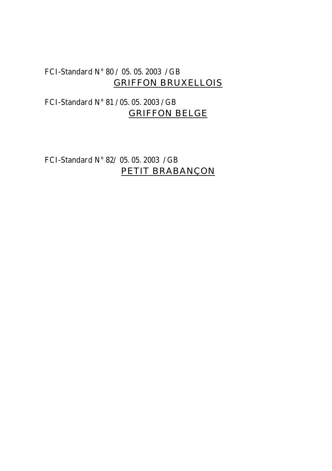## FCI-Standard N° 80 / 05. 05. 2003 / GB GRIFFON BRUXELLOIS

# FCI-Standard N° 81 / 05. 05. 2003 / GB GRIFFON BELGE

FCI-Standard N° 82/ 05. 05. 2003 / GB PETIT BRABANÇON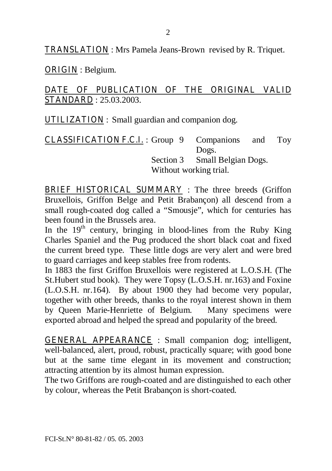TRANSLATION : Mrs Pamela Jeans-Brown revised by R. Triquet.

ORIGIN : Belgium.

### DATE OF PUBLICATION OF THE ORIGINAL VALID STANDARD : 25.03.2003.

UTILIZATION : Small guardian and companion dog.

CLASSIFICATION F.C.I. : Group 9 Companions and Toy Dogs. Section 3 Small Belgian Dogs. Without working trial.

BRIEF HISTORICAL SUMMARY : The three breeds (Griffon Bruxellois, Griffon Belge and Petit Brabançon) all descend from a small rough-coated dog called a "Smousje", which for centuries has been found in the Brussels area.

In the  $19<sup>th</sup>$  century, bringing in blood-lines from the Ruby King Charles Spaniel and the Pug produced the short black coat and fixed the current breed type. These little dogs are very alert and were bred to guard carriages and keep stables free from rodents.

In 1883 the first Griffon Bruxellois were registered at L.O.S.H. (The St.Hubert stud book). They were Topsy (L.O.S.H. nr.163) and Foxine (L.O.S.H. nr.164). By about 1900 they had become very popular, together with other breeds, thanks to the royal interest shown in them by Queen Marie-Henriette of Belgium. Many specimens were exported abroad and helped the spread and popularity of the breed.

GENERAL APPEARANCE : Small companion dog; intelligent, well-balanced, alert, proud, robust, practically square; with good bone but at the same time elegant in its movement and construction; attracting attention by its almost human expression.

The two Griffons are rough-coated and are distinguished to each other by colour, whereas the Petit Brabançon is short-coated.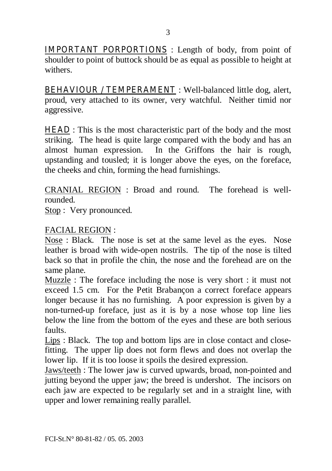IMPORTANT PORPORTIONS : Length of body, from point of shoulder to point of buttock should be as equal as possible to height at withers.

BEHAVIOUR / TEMPERAMENT : Well-balanced little dog, alert, proud, very attached to its owner, very watchful. Neither timid nor aggressive.

**HEAD** : This is the most characteristic part of the body and the most striking. The head is quite large compared with the body and has an almost human expression. In the Griffons the hair is rough, upstanding and tousled; it is longer above the eyes, on the foreface, the cheeks and chin, forming the head furnishings.

CRANIAL REGION : Broad and round. The forehead is wellrounded.

Stop : Very pronounced.

#### FACIAL REGION :

Nose : Black. The nose is set at the same level as the eyes. Nose leather is broad with wide-open nostrils. The tip of the nose is tilted back so that in profile the chin, the nose and the forehead are on the same plane.

Muzzle : The foreface including the nose is very short : it must not exceed 1.5 cm. For the Petit Brabançon a correct foreface appears longer because it has no furnishing. A poor expression is given by a non-turned-up foreface, just as it is by a nose whose top line lies below the line from the bottom of the eyes and these are both serious faults.

Lips : Black. The top and bottom lips are in close contact and closefitting. The upper lip does not form flews and does not overlap the lower lip. If it is too loose it spoils the desired expression.

Jaws/teeth : The lower jaw is curved upwards, broad, non-pointed and jutting beyond the upper jaw; the breed is undershot. The incisors on each jaw are expected to be regularly set and in a straight line, with upper and lower remaining really parallel.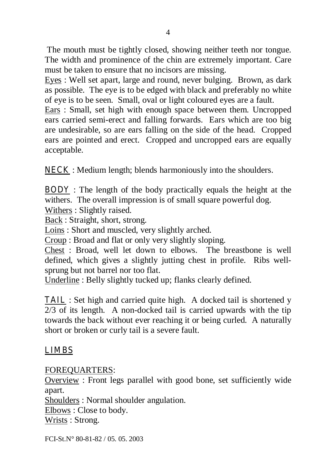The mouth must be tightly closed, showing neither teeth nor tongue. The width and prominence of the chin are extremely important. Care must be taken to ensure that no incisors are missing.

Eyes : Well set apart, large and round, never bulging. Brown, as dark as possible. The eye is to be edged with black and preferably no white of eye is to be seen. Small, oval or light coloured eyes are a fault.

Ears : Small, set high with enough space between them. Uncropped ears carried semi-erect and falling forwards. Ears which are too big are undesirable, so are ears falling on the side of the head. Cropped ears are pointed and erect. Cropped and uncropped ears are equally acceptable.

NECK : Medium length; blends harmoniously into the shoulders.

BODY : The length of the body practically equals the height at the withers. The overall impression is of small square powerful dog.

Withers : Slightly raised.

Back : Straight, short, strong.

Loins : Short and muscled, very slightly arched.

Croup : Broad and flat or only very slightly sloping.

Chest : Broad, well let down to elbows. The breastbone is well defined, which gives a slightly jutting chest in profile. Ribs wellsprung but not barrel nor too flat.

Underline : Belly slightly tucked up; flanks clearly defined.

**TAIL** : Set high and carried quite high. A docked tail is shortened y 2/3 of its length. A non-docked tail is carried upwards with the tip towards the back without ever reaching it or being curled. A naturally short or broken or curly tail is a severe fault.

## LIMBS

FOREQUARTERS:

Overview : Front legs parallel with good bone, set sufficiently wide apart.

Shoulders : Normal shoulder angulation.

Elbows : Close to body.

Wrists : Strong.

FCI-St.N° 80-81-82 / 05. 05. 2003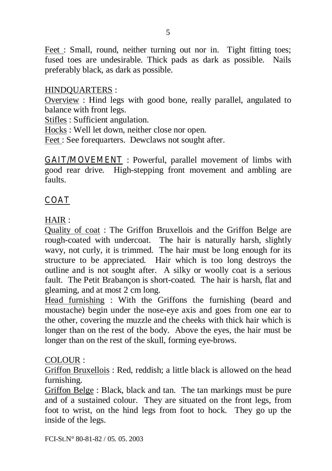Feet : Small, round, neither turning out nor in. Tight fitting toes; fused toes are undesirable. Thick pads as dark as possible. Nails preferably black, as dark as possible.

#### HINDQUARTERS :

Overview : Hind legs with good bone, really parallel, angulated to balance with front legs.

Stifles : Sufficient angulation.

Hocks : Well let down, neither close nor open.

Feet : See forequarters. Dewclaws not sought after.

GAIT/MOVEMENT : Powerful, parallel movement of limbs with good rear drive. High-stepping front movement and ambling are faults.

# COAT

HAIR :

Quality of coat : The Griffon Bruxellois and the Griffon Belge are rough-coated with undercoat. The hair is naturally harsh, slightly wavy, not curly, it is trimmed. The hair must be long enough for its structure to be appreciated. Hair which is too long destroys the outline and is not sought after. A silky or woolly coat is a serious fault. The Petit Brabançon is short-coated. The hair is harsh, flat and gleaming, and at most 2 cm long.

Head furnishing : With the Griffons the furnishing (beard and moustache) begin under the nose-eye axis and goes from one ear to the other, covering the muzzle and the cheeks with thick hair which is longer than on the rest of the body. Above the eyes, the hair must be longer than on the rest of the skull, forming eye-brows.

#### COLOUR :

Griffon Bruxellois : Red, reddish; a little black is allowed on the head furnishing.

Griffon Belge : Black, black and tan. The tan markings must be pure and of a sustained colour. They are situated on the front legs, from foot to wrist, on the hind legs from foot to hock. They go up the inside of the legs.